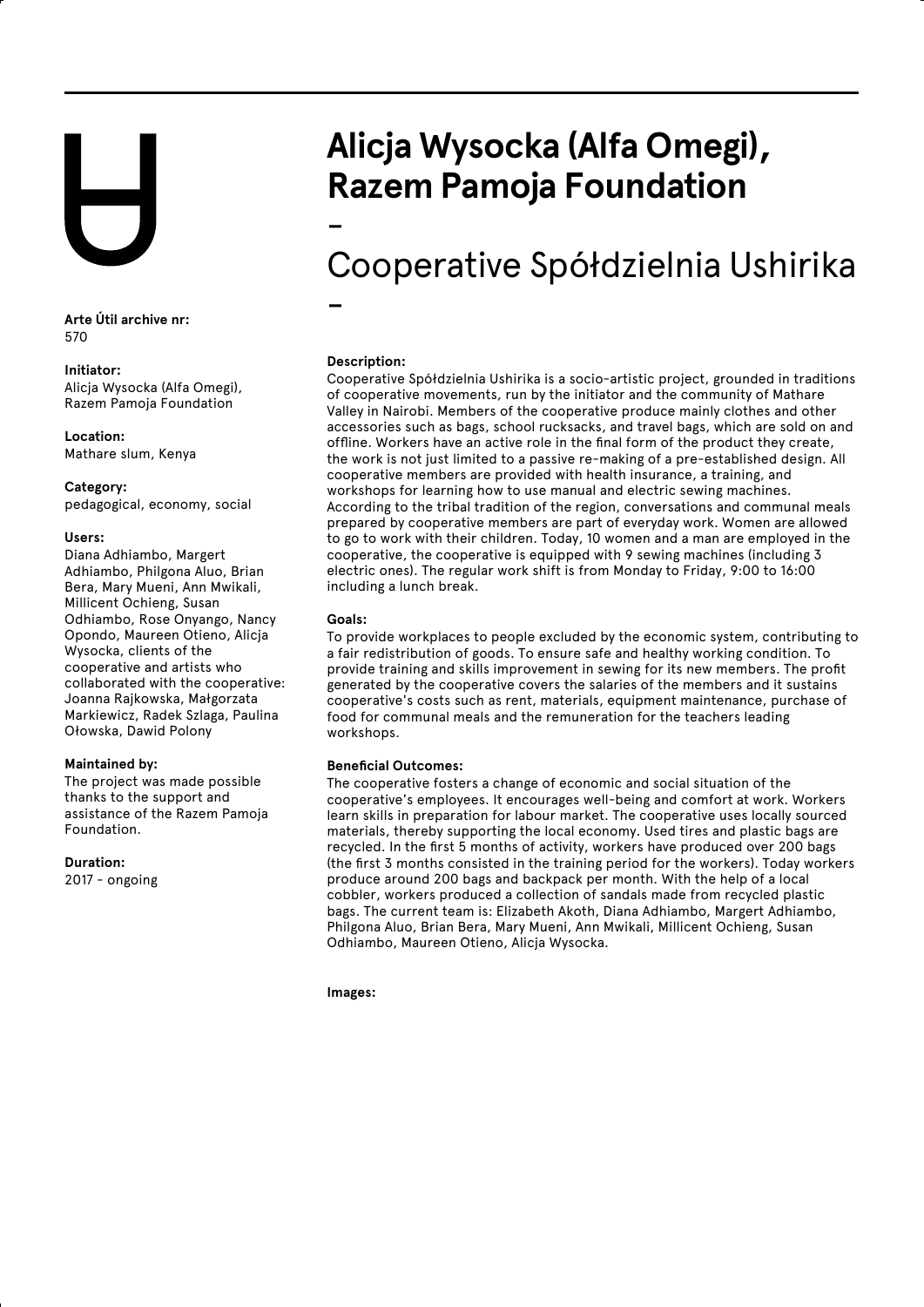**Arte Útil archive nr:** 570

# **Initiator:**

Alicja Wysocka (Alfa Omegi), Razem Pamoja Foundation

**Location:** Mathare slum, Kenya

**Category:** pedagogical, economy, social

# **Users:**

Diana Adhiambo, Margert Adhiambo, Philgona Aluo, Brian Bera, Mary Mueni, Ann Mwikali, Millicent Ochieng, Susan Odhiambo, Rose Onyango, Nancy Opondo, Maureen Otieno, Alicja Wysocka, clients of the cooperative and artists who collaborated with the cooperative: Joanna Rajkowska, Małgorzata Markiewicz, Radek Szlaga, Paulina Ołowska, Dawid Polony

# **Maintained by:**

The project was made possible thanks to the support and assistance of the Razem Pamoja Foundation.

### **Duration:**

2017 - ongoing

# **Alicja Wysocka (Alfa Omegi), Razem Pamoja Foundation**

-

# Cooperative Spółdzielnia Ushirika

-

**Description:**

Cooperative Spółdzielnia Ushirika is a socio-artistic project, grounded in traditions of cooperative movements, run by the initiator and the community of Mathare Valley in Nairobi. Members of the cooperative produce mainly clothes and other accessories such as bags, school rucksacks, and travel bags, which are sold on and offline. Workers have an active role in the final form of the product they create, the work is not just limited to a passive re-making of a pre-established design. All cooperative members are provided with health insurance, a training, and workshops for learning how to use manual and electric sewing machines. According to the tribal tradition of the region, conversations and communal meals prepared by cooperative members are part of everyday work. Women are allowed to go to work with their children. Today, 10 women and a man are employed in the cooperative, the cooperative is equipped with 9 sewing machines (including 3 electric ones). The regular work shift is from Monday to Friday, 9:00 to 16:00 including a lunch break.

# **Goals:**

To provide workplaces to people excluded by the economic system, contributing to a fair redistribution of goods. To ensure safe and healthy working condition. To provide training and skills improvement in sewing for its new members. The profit generated by the cooperative covers the salaries of the members and it sustains cooperative's costs such as rent, materials, equipment maintenance, purchase of food for communal meals and the remuneration for the teachers leading workshops.

# **Beneficial Outcomes:**

The cooperative fosters a change of economic and social situation of the cooperative's employees. It encourages well-being and comfort at work. Workers learn skills in preparation for labour market. The cooperative uses locally sourced materials, thereby supporting the local economy. Used tires and plastic bags are recycled. In the first 5 months of activity, workers have produced over 200 bags (the first 3 months consisted in the training period for the workers). Today workers produce around 200 bags and backpack per month. With the help of a local cobbler, workers produced a collection of sandals made from recycled plastic bags. The current team is: Elizabeth Akoth, Diana Adhiambo, Margert Adhiambo, Philgona Aluo, Brian Bera, Mary Mueni, Ann Mwikali, Millicent Ochieng, Susan Odhiambo, Maureen Otieno, Alicja Wysocka.

**Images:**